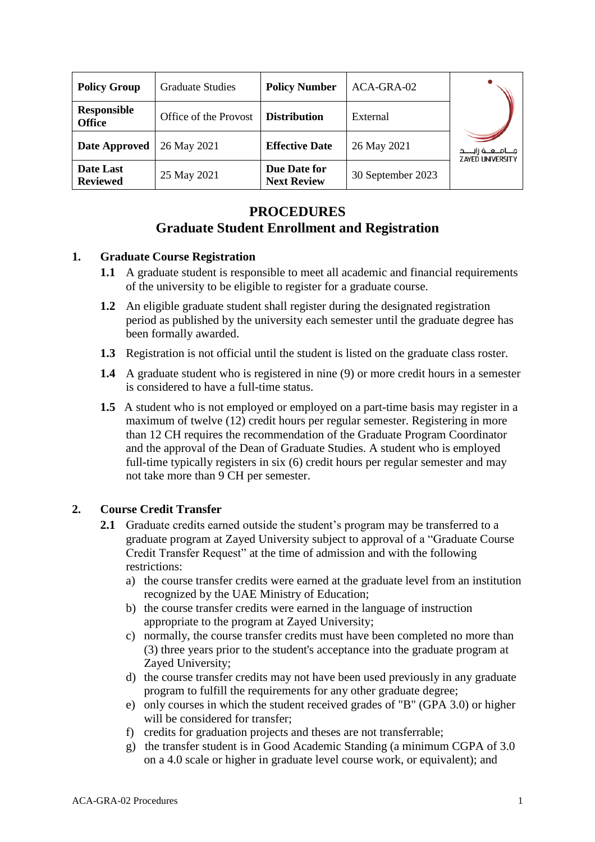| <b>Policy Group</b>                 | <b>Graduate Studies</b> | <b>Policy Number</b>               | ACA-GRA-02        |                                                     |
|-------------------------------------|-------------------------|------------------------------------|-------------------|-----------------------------------------------------|
| <b>Responsible</b><br><b>Office</b> | Office of the Provost   | <b>Distribution</b>                | External          |                                                     |
| Date Approved                       | 26 May 2021             | <b>Effective Date</b>              | 26 May 2021       | مــــامـــــه زايــــــد<br><b>ZAYED UNIVERSITY</b> |
| Date Last<br><b>Reviewed</b>        | 25 May 2021             | Due Date for<br><b>Next Review</b> | 30 September 2023 |                                                     |

# **PROCEDURES Graduate Student Enrollment and Registration**

# **1. Graduate Course Registration**

- **1.1** A graduate student is responsible to meet all academic and financial requirements of the university to be eligible to register for a graduate course.
- **1.2** An eligible graduate student shall register during the designated registration period as published by the university each semester until the graduate degree has been formally awarded.
- **1.3** Registration is not official until the student is listed on the graduate class roster.
- **1.4** A graduate student who is registered in nine (9) or more credit hours in a semester is considered to have a full-time status.
- **1.5** A student who is not employed or employed on a part-time basis may register in a maximum of twelve (12) credit hours per regular semester. Registering in more than 12 CH requires the recommendation of the Graduate Program Coordinator and the approval of the Dean of Graduate Studies. A student who is employed full-time typically registers in six (6) credit hours per regular semester and may not take more than 9 CH per semester.

# **2. Course Credit Transfer**

- **2.1** Graduate credits earned outside the student's program may be transferred to a graduate program at Zayed University subject to approval of a "Graduate Course Credit Transfer Request" at the time of admission and with the following restrictions:
	- a) the course transfer credits were earned at the graduate level from an institution recognized by the UAE Ministry of Education;
	- b) the course transfer credits were earned in the language of instruction appropriate to the program at Zayed University;
	- c) normally, the course transfer credits must have been completed no more than (3) three years prior to the student's acceptance into the graduate program at Zayed University;
	- d) the course transfer credits may not have been used previously in any graduate program to fulfill the requirements for any other graduate degree;
	- e) only courses in which the student received grades of "B" (GPA 3.0) or higher will be considered for transfer;
	- f) credits for graduation projects and theses are not transferrable;
	- g) the transfer student is in Good Academic Standing (a minimum CGPA of 3.0 on a 4.0 scale or higher in graduate level course work, or equivalent); and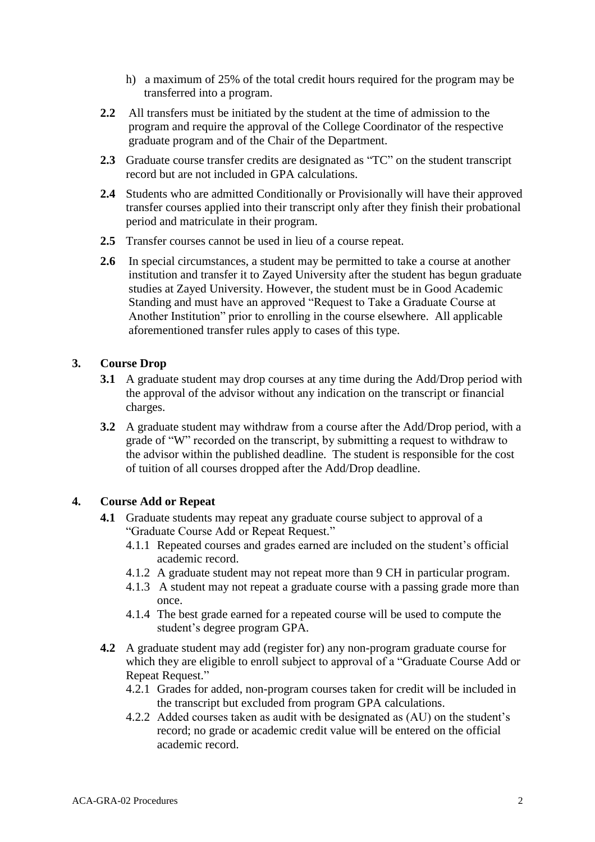- h) a maximum of 25% of the total credit hours required for the program may be transferred into a program.
- **2.2** All transfers must be initiated by the student at the time of admission to the program and require the approval of the College Coordinator of the respective graduate program and of the Chair of the Department.
- **2.3** Graduate course transfer credits are designated as "TC" on the student transcript record but are not included in GPA calculations.
- **2.4** Students who are admitted Conditionally or Provisionally will have their approved transfer courses applied into their transcript only after they finish their probational period and matriculate in their program.
- **2.5** Transfer courses cannot be used in lieu of a course repeat.
- **2.6** In special circumstances, a student may be permitted to take a course at another institution and transfer it to Zayed University after the student has begun graduate studies at Zayed University. However, the student must be in Good Academic Standing and must have an approved "Request to Take a Graduate Course at Another Institution" prior to enrolling in the course elsewhere. All applicable aforementioned transfer rules apply to cases of this type.

# **3. Course Drop**

- **3.1** A graduate student may drop courses at any time during the Add/Drop period with the approval of the advisor without any indication on the transcript or financial charges.
- **3.2** A graduate student may withdraw from a course after the Add/Drop period, with a grade of "W" recorded on the transcript, by submitting a request to withdraw to the advisor within the published deadline. The student is responsible for the cost of tuition of all courses dropped after the Add/Drop deadline.

# **4. Course Add or Repeat**

- **4.1** Graduate students may repeat any graduate course subject to approval of a "Graduate Course Add or Repeat Request."
	- 4.1.1 Repeated courses and grades earned are included on the student's official academic record.
	- 4.1.2 A graduate student may not repeat more than 9 CH in particular program.
	- 4.1.3 A student may not repeat a graduate course with a passing grade more than once.
	- 4.1.4 The best grade earned for a repeated course will be used to compute the student's degree program GPA.
- **4.2** A graduate student may add (register for) any non-program graduate course for which they are eligible to enroll subject to approval of a "Graduate Course Add or Repeat Request."
	- 4.2.1 Grades for added, non-program courses taken for credit will be included in the transcript but excluded from program GPA calculations.
	- 4.2.2 Added courses taken as audit with be designated as (AU) on the student's record; no grade or academic credit value will be entered on the official academic record.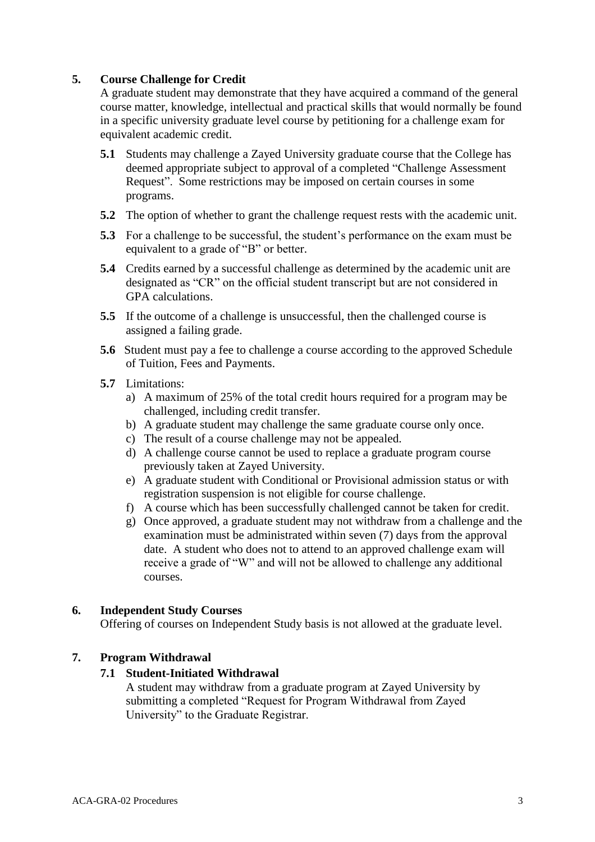## **5. Course Challenge for Credit**

A graduate student may demonstrate that they have acquired a command of the general course matter, knowledge, intellectual and practical skills that would normally be found in a specific university graduate level course by petitioning for a challenge exam for equivalent academic credit.

- **5.1** Students may challenge a Zayed University graduate course that the College has deemed appropriate subject to approval of a completed "Challenge Assessment Request". Some restrictions may be imposed on certain courses in some programs.
- **5.2** The option of whether to grant the challenge request rests with the academic unit.
- **5.3** For a challenge to be successful, the student's performance on the exam must be equivalent to a grade of "B" or better.
- **5.4** Credits earned by a successful challenge as determined by the academic unit are designated as "CR" on the official student transcript but are not considered in GPA calculations.
- **5.5** If the outcome of a challenge is unsuccessful, then the challenged course is assigned a failing grade.
- **5.6** Student must pay a fee to challenge a course according to the approved Schedule of Tuition, Fees and Payments.
- **5.7** Limitations:
	- a) A maximum of 25% of the total credit hours required for a program may be challenged, including credit transfer.
	- b) A graduate student may challenge the same graduate course only once.
	- c) The result of a course challenge may not be appealed.
	- d) A challenge course cannot be used to replace a graduate program course previously taken at Zayed University.
	- e) A graduate student with Conditional or Provisional admission status or with registration suspension is not eligible for course challenge.
	- f) A course which has been successfully challenged cannot be taken for credit.
	- g) Once approved, a graduate student may not withdraw from a challenge and the examination must be administrated within seven (7) days from the approval date. A student who does not to attend to an approved challenge exam will receive a grade of "W" and will not be allowed to challenge any additional courses.

### **6. Independent Study Courses**

Offering of courses on Independent Study basis is not allowed at the graduate level.

#### **7. Program Withdrawal**

#### **7.1 Student-Initiated Withdrawal**

A student may withdraw from a graduate program at Zayed University by submitting a completed "Request for Program Withdrawal from Zayed University" to the Graduate Registrar.